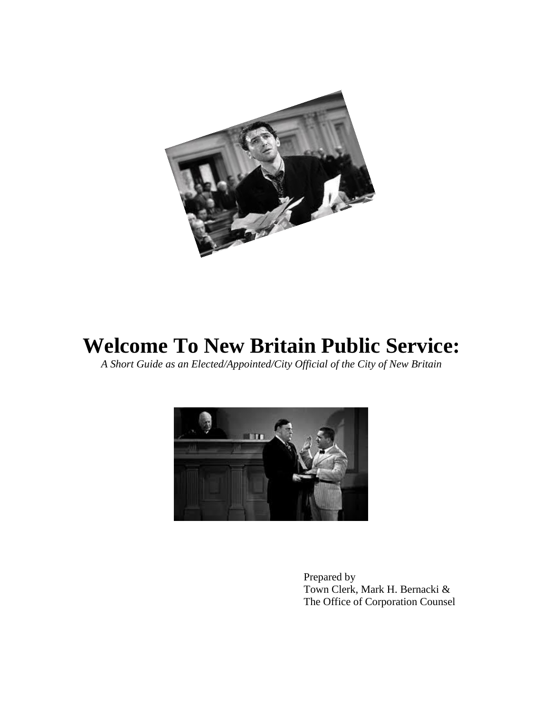

# **Welcome To New Britain Public Service:**

*A Short Guide as an Elected/Appointed/City Official of the City of New Britain*



Prepared by Town Clerk, Mark H. Bernacki & The Office of Corporation Counsel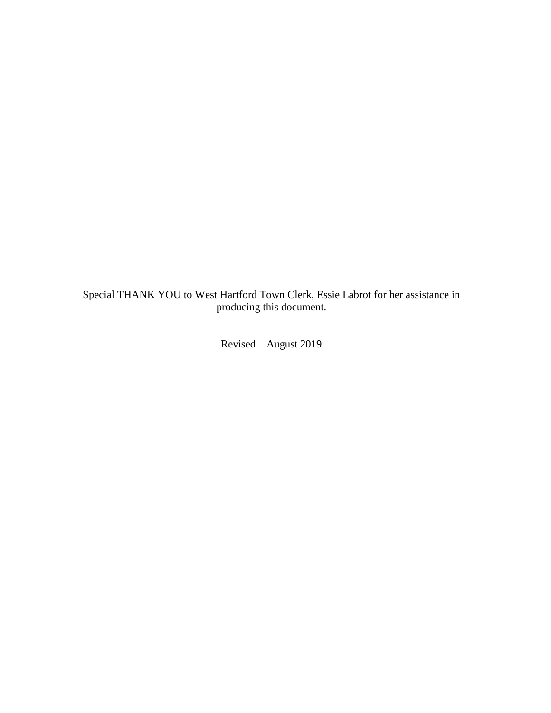Special THANK YOU to West Hartford Town Clerk, Essie Labrot for her assistance in producing this document.

Revised – August 2019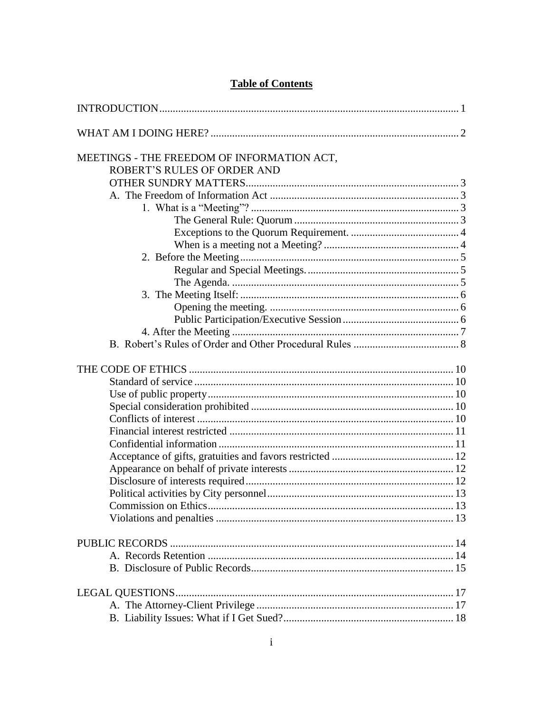| MEETINGS - THE FREEDOM OF INFORMATION ACT, |  |
|--------------------------------------------|--|
| ROBERT'S RULES OF ORDER AND                |  |
|                                            |  |
|                                            |  |
|                                            |  |
|                                            |  |
|                                            |  |
|                                            |  |
|                                            |  |
|                                            |  |
|                                            |  |
|                                            |  |
|                                            |  |
|                                            |  |
|                                            |  |
|                                            |  |
|                                            |  |
|                                            |  |
|                                            |  |
|                                            |  |
|                                            |  |
|                                            |  |
|                                            |  |
|                                            |  |
|                                            |  |
|                                            |  |
|                                            |  |
|                                            |  |
|                                            |  |
|                                            |  |
|                                            |  |
|                                            |  |
|                                            |  |
|                                            |  |
|                                            |  |

## **Table of Contents**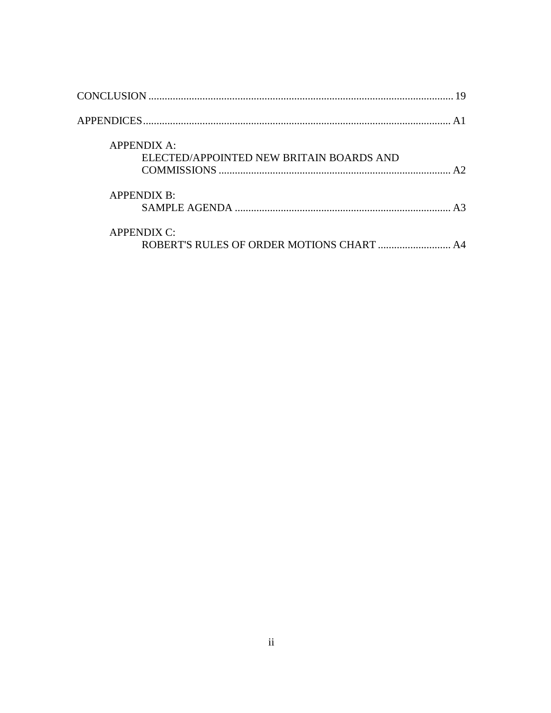| <b>APPENDIX A:</b><br>ELECTED/APPOINTED NEW BRITAIN BOARDS AND  |  |
|-----------------------------------------------------------------|--|
| <b>APPENDIX B:</b>                                              |  |
| <b>APPENDIX C:</b><br>ROBERT'S RULES OF ORDER MOTIONS CHART  A4 |  |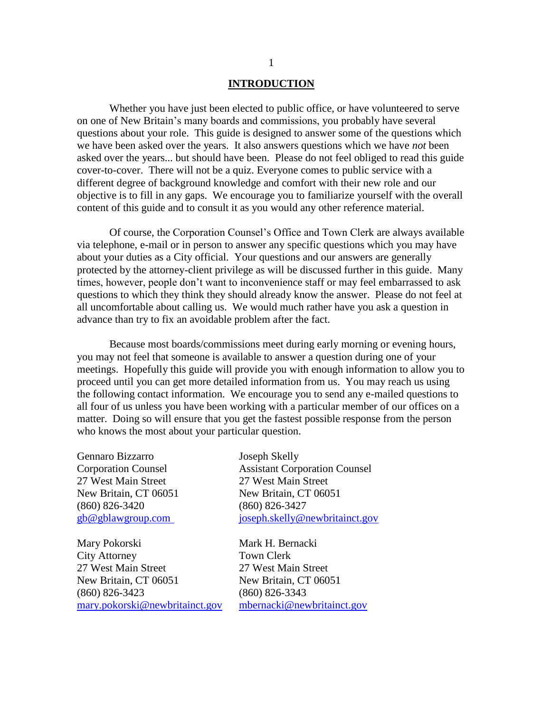#### **INTRODUCTION**

Whether you have just been elected to public office, or have volunteered to serve on one of New Britain's many boards and commissions, you probably have several questions about your role. This guide is designed to answer some of the questions which we have been asked over the years. It also answers questions which we have *not* been asked over the years... but should have been. Please do not feel obliged to read this guide cover-to-cover. There will not be a quiz. Everyone comes to public service with a different degree of background knowledge and comfort with their new role and our objective is to fill in any gaps. We encourage you to familiarize yourself with the overall content of this guide and to consult it as you would any other reference material.

Of course, the Corporation Counsel's Office and Town Clerk are always available via telephone, e-mail or in person to answer any specific questions which you may have about your duties as a City official. Your questions and our answers are generally protected by the attorney-client privilege as will be discussed further in this guide. Many times, however, people don't want to inconvenience staff or may feel embarrassed to ask questions to which they think they should already know the answer. Please do not feel at all uncomfortable about calling us. We would much rather have you ask a question in advance than try to fix an avoidable problem after the fact.

Because most boards/commissions meet during early morning or evening hours, you may not feel that someone is available to answer a question during one of your meetings. Hopefully this guide will provide you with enough information to allow you to proceed until you can get more detailed information from us. You may reach us using the following contact information. We encourage you to send any e-mailed questions to all four of us unless you have been working with a particular member of our offices on a matter. Doing so will ensure that you get the fastest possible response from the person who knows the most about your particular question.

Gennaro Bizzarro Joseph Skelly 27 West Main Street 27 West Main Street (860) 826-3420 (860) 826-3427

Mary Pokorski Mark H. Bernacki City Attorney Town Clerk 27 West Main Street 27 West Main Street New Britain, CT 06051 New Britain, CT 06051 (860) 826-3423 (860) 826-3343 [mary.pokorski@newbritainct.gov](mailto:mary.pokorski@newbritainct.gov) [mbernacki@newbritainct.gov](mailto:mbernacki@newbritainct.gov)

Corporation Counsel Assistant Corporation Counsel New Britain, CT 06051 New Britain, CT 06051 [gb@gblawgroup.com](mailto:gb@gblawgroup.com) [joseph.skelly@newbritainct.gov](mailto:joseph.skelly@newbritainct.gov)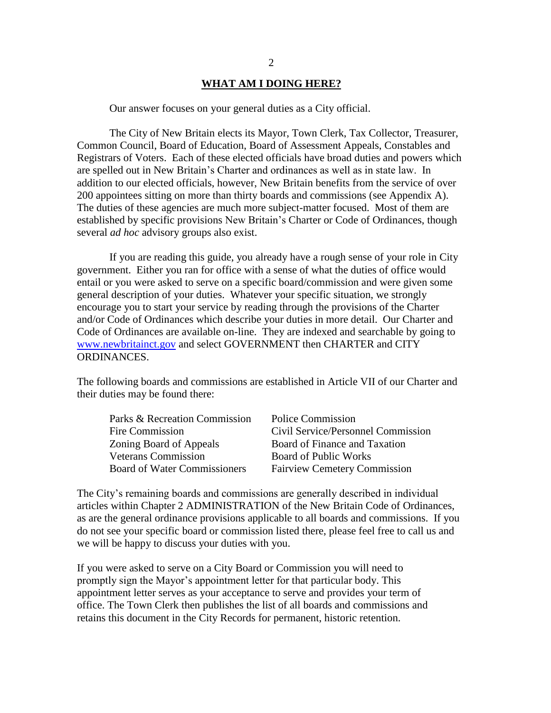#### **WHAT AM I DOING HERE?**

Our answer focuses on your general duties as a City official.

The City of New Britain elects its Mayor, Town Clerk, Tax Collector, Treasurer, Common Council, Board of Education, Board of Assessment Appeals, Constables and Registrars of Voters. Each of these elected officials have broad duties and powers which are spelled out in New Britain's Charter and ordinances as well as in state law. In addition to our elected officials, however, New Britain benefits from the service of over 200 appointees sitting on more than thirty boards and commissions (see Appendix A). The duties of these agencies are much more subject-matter focused. Most of them are established by specific provisions New Britain's Charter or Code of Ordinances, though several *ad hoc* advisory groups also exist.

If you are reading this guide, you already have a rough sense of your role in City government. Either you ran for office with a sense of what the duties of office would entail or you were asked to serve on a specific board/commission and were given some general description of your duties. Whatever your specific situation, we strongly encourage you to start your service by reading through the provisions of the Charter and/or Code of Ordinances which describe your duties in more detail. Our Charter and Code of Ordinances are available on-line. They are indexed and searchable by going to www.newbritainct.gov and select GOVERNMENT then CHARTER and CITY ORDINANCES.

The following boards and commissions are established in Article VII of our Charter and their duties may be found there:

| Parks & Recreation Commission       | <b>Police Commission</b>            |
|-------------------------------------|-------------------------------------|
| Fire Commission                     | Civil Service/Personnel Commission  |
| Zoning Board of Appeals             | Board of Finance and Taxation       |
| <b>Veterans Commission</b>          | <b>Board of Public Works</b>        |
| <b>Board of Water Commissioners</b> | <b>Fairview Cemetery Commission</b> |

The City's remaining boards and commissions are generally described in individual articles within Chapter 2 ADMINISTRATION of the New Britain Code of Ordinances, as are the general ordinance provisions applicable to all boards and commissions. If you do not see your specific board or commission listed there, please feel free to call us and we will be happy to discuss your duties with you.

If you were asked to serve on a City Board or Commission you will need to promptly sign the Mayor's appointment letter for that particular body. This appointment letter serves as your acceptance to serve and provides your term of office. The Town Clerk then publishes the list of all boards and commissions and retains this document in the City Records for permanent, historic retention.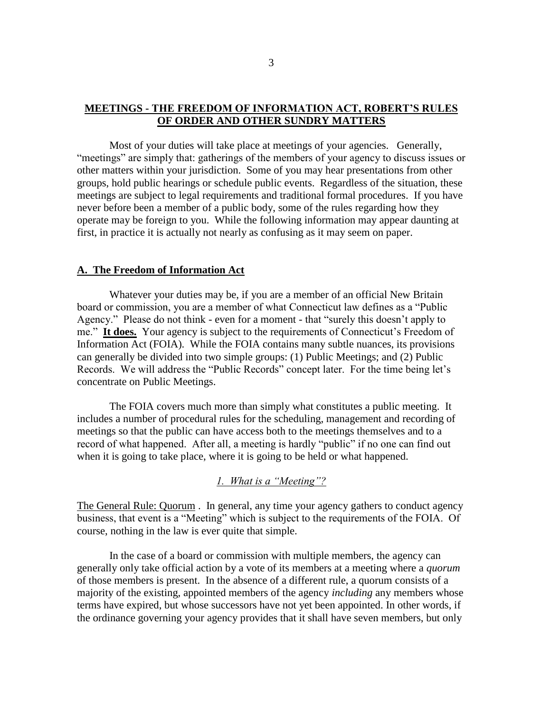## **MEETINGS - THE FREEDOM OF INFORMATION ACT, ROBERT'S RULES OF ORDER AND OTHER SUNDRY MATTERS**

Most of your duties will take place at meetings of your agencies. Generally, "meetings" are simply that: gatherings of the members of your agency to discuss issues or other matters within your jurisdiction. Some of you may hear presentations from other groups, hold public hearings or schedule public events. Regardless of the situation, these meetings are subject to legal requirements and traditional formal procedures. If you have never before been a member of a public body, some of the rules regarding how they operate may be foreign to you. While the following information may appear daunting at first, in practice it is actually not nearly as confusing as it may seem on paper.

#### **A. The Freedom of Information Act**

Whatever your duties may be, if you are a member of an official New Britain board or commission, you are a member of what Connecticut law defines as a "Public Agency." Please do not think - even for a moment - that "surely this doesn't apply to me." **It does.** Your agency is subject to the requirements of Connecticut's Freedom of Information Act (FOIA). While the FOIA contains many subtle nuances, its provisions can generally be divided into two simple groups: (1) Public Meetings; and (2) Public Records. We will address the "Public Records" concept later. For the time being let's concentrate on Public Meetings.

The FOIA covers much more than simply what constitutes a public meeting. It includes a number of procedural rules for the scheduling, management and recording of meetings so that the public can have access both to the meetings themselves and to a record of what happened. After all, a meeting is hardly "public" if no one can find out when it is going to take place, where it is going to be held or what happened.

## *1. What is a "Meeting"?*

The General Rule: Quorum . In general, any time your agency gathers to conduct agency business, that event is a "Meeting" which is subject to the requirements of the FOIA. Of course, nothing in the law is ever quite that simple.

In the case of a board or commission with multiple members, the agency can generally only take official action by a vote of its members at a meeting where a *quorum* of those members is present. In the absence of a different rule, a quorum consists of a majority of the existing, appointed members of the agency *including* any members whose terms have expired, but whose successors have not yet been appointed. In other words, if the ordinance governing your agency provides that it shall have seven members, but only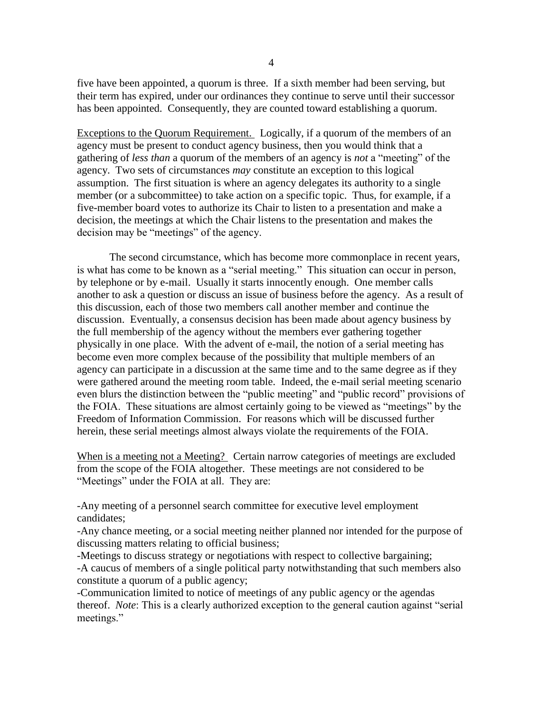five have been appointed, a quorum is three. If a sixth member had been serving, but their term has expired, under our ordinances they continue to serve until their successor has been appointed. Consequently, they are counted toward establishing a quorum.

Exceptions to the Quorum Requirement. Logically, if a quorum of the members of an agency must be present to conduct agency business, then you would think that a gathering of *less than* a quorum of the members of an agency is *not* a "meeting" of the agency. Two sets of circumstances *may* constitute an exception to this logical assumption. The first situation is where an agency delegates its authority to a single member (or a subcommittee) to take action on a specific topic. Thus, for example, if a five-member board votes to authorize its Chair to listen to a presentation and make a decision, the meetings at which the Chair listens to the presentation and makes the decision may be "meetings" of the agency.

The second circumstance, which has become more commonplace in recent years, is what has come to be known as a "serial meeting." This situation can occur in person, by telephone or by e-mail. Usually it starts innocently enough. One member calls another to ask a question or discuss an issue of business before the agency. As a result of this discussion, each of those two members call another member and continue the discussion. Eventually, a consensus decision has been made about agency business by the full membership of the agency without the members ever gathering together physically in one place. With the advent of e-mail, the notion of a serial meeting has become even more complex because of the possibility that multiple members of an agency can participate in a discussion at the same time and to the same degree as if they were gathered around the meeting room table. Indeed, the e-mail serial meeting scenario even blurs the distinction between the "public meeting" and "public record" provisions of the FOIA. These situations are almost certainly going to be viewed as "meetings" by the Freedom of Information Commission. For reasons which will be discussed further herein, these serial meetings almost always violate the requirements of the FOIA.

When is a meeting not a Meeting? Certain narrow categories of meetings are excluded from the scope of the FOIA altogether. These meetings are not considered to be "Meetings" under the FOIA at all. They are:

-Any meeting of a personnel search committee for executive level employment candidates;

-Any chance meeting, or a social meeting neither planned nor intended for the purpose of discussing matters relating to official business;

-Meetings to discuss strategy or negotiations with respect to collective bargaining;

-A caucus of members of a single political party notwithstanding that such members also constitute a quorum of a public agency;

-Communication limited to notice of meetings of any public agency or the agendas thereof. *Note*: This is a clearly authorized exception to the general caution against "serial meetings."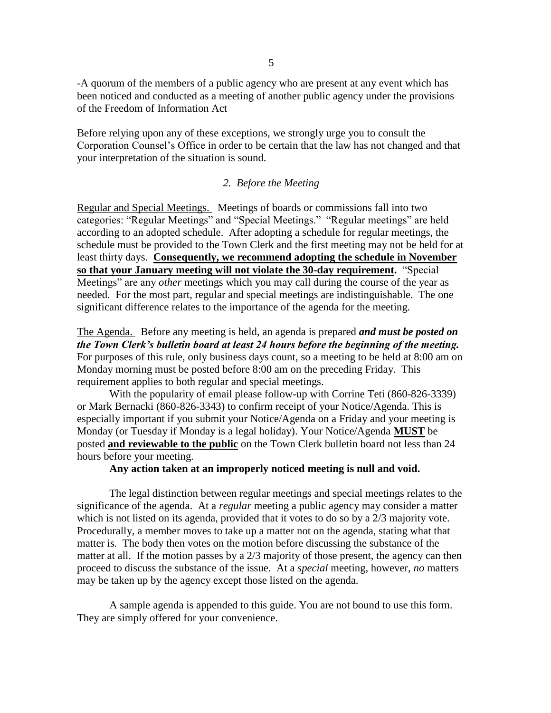-A quorum of the members of a public agency who are present at any event which has been noticed and conducted as a meeting of another public agency under the provisions of the Freedom of Information Act

Before relying upon any of these exceptions, we strongly urge you to consult the Corporation Counsel's Office in order to be certain that the law has not changed and that your interpretation of the situation is sound.

## *2. Before the Meeting*

Regular and Special Meetings. Meetings of boards or commissions fall into two categories: "Regular Meetings" and "Special Meetings." "Regular meetings" are held according to an adopted schedule. After adopting a schedule for regular meetings, the schedule must be provided to the Town Clerk and the first meeting may not be held for at least thirty days. **Consequently, we recommend adopting the schedule in November so that your January meeting will not violate the 30-day requirement.** "Special Meetings" are any *other* meetings which you may call during the course of the year as needed. For the most part, regular and special meetings are indistinguishable. The one significant difference relates to the importance of the agenda for the meeting.

The Agenda. Before any meeting is held, an agenda is prepared *and must be posted on the Town Clerk's bulletin board at least 24 hours before the beginning of the meeting.* For purposes of this rule, only business days count, so a meeting to be held at 8:00 am on Monday morning must be posted before 8:00 am on the preceding Friday. This requirement applies to both regular and special meetings.

With the popularity of email please follow-up with Corrine Teti (860-826-3339) or Mark Bernacki (860-826-3343) to confirm receipt of your Notice/Agenda. This is especially important if you submit your Notice/Agenda on a Friday and your meeting is Monday (or Tuesday if Monday is a legal holiday). Your Notice/Agenda **MUST** be posted **and reviewable to the public** on the Town Clerk bulletin board not less than 24 hours before your meeting.

#### **Any action taken at an improperly noticed meeting is null and void.**

The legal distinction between regular meetings and special meetings relates to the significance of the agenda. At a *regular* meeting a public agency may consider a matter which is not listed on its agenda, provided that it votes to do so by a 2/3 majority vote. Procedurally, a member moves to take up a matter not on the agenda, stating what that matter is. The body then votes on the motion before discussing the substance of the matter at all. If the motion passes by a 2/3 majority of those present, the agency can then proceed to discuss the substance of the issue. At a *special* meeting, however, *no* matters may be taken up by the agency except those listed on the agenda.

A sample agenda is appended to this guide. You are not bound to use this form. They are simply offered for your convenience.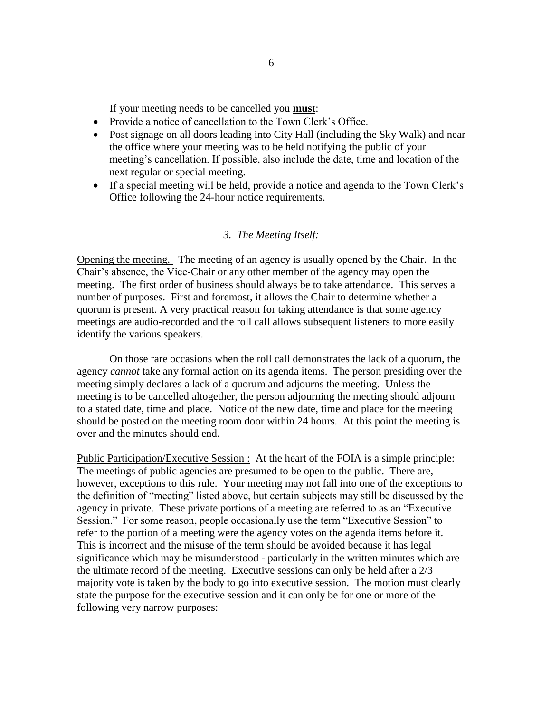If your meeting needs to be cancelled you **must**:

- Provide a notice of cancellation to the Town Clerk's Office.
- Post signage on all doors leading into City Hall (including the Sky Walk) and near the office where your meeting was to be held notifying the public of your meeting's cancellation. If possible, also include the date, time and location of the next regular or special meeting.
- If a special meeting will be held, provide a notice and agenda to the Town Clerk's Office following the 24-hour notice requirements.

#### *3. The Meeting Itself:*

Opening the meeting. The meeting of an agency is usually opened by the Chair. In the Chair's absence, the Vice-Chair or any other member of the agency may open the meeting. The first order of business should always be to take attendance. This serves a number of purposes. First and foremost, it allows the Chair to determine whether a quorum is present. A very practical reason for taking attendance is that some agency meetings are audio-recorded and the roll call allows subsequent listeners to more easily identify the various speakers.

On those rare occasions when the roll call demonstrates the lack of a quorum, the agency *cannot* take any formal action on its agenda items. The person presiding over the meeting simply declares a lack of a quorum and adjourns the meeting. Unless the meeting is to be cancelled altogether, the person adjourning the meeting should adjourn to a stated date, time and place. Notice of the new date, time and place for the meeting should be posted on the meeting room door within 24 hours. At this point the meeting is over and the minutes should end.

Public Participation/Executive Session : At the heart of the FOIA is a simple principle: The meetings of public agencies are presumed to be open to the public. There are, however, exceptions to this rule. Your meeting may not fall into one of the exceptions to the definition of "meeting" listed above, but certain subjects may still be discussed by the agency in private. These private portions of a meeting are referred to as an "Executive Session." For some reason, people occasionally use the term "Executive Session" to refer to the portion of a meeting were the agency votes on the agenda items before it. This is incorrect and the misuse of the term should be avoided because it has legal significance which may be misunderstood - particularly in the written minutes which are the ultimate record of the meeting. Executive sessions can only be held after a 2/3 majority vote is taken by the body to go into executive session. The motion must clearly state the purpose for the executive session and it can only be for one or more of the following very narrow purposes: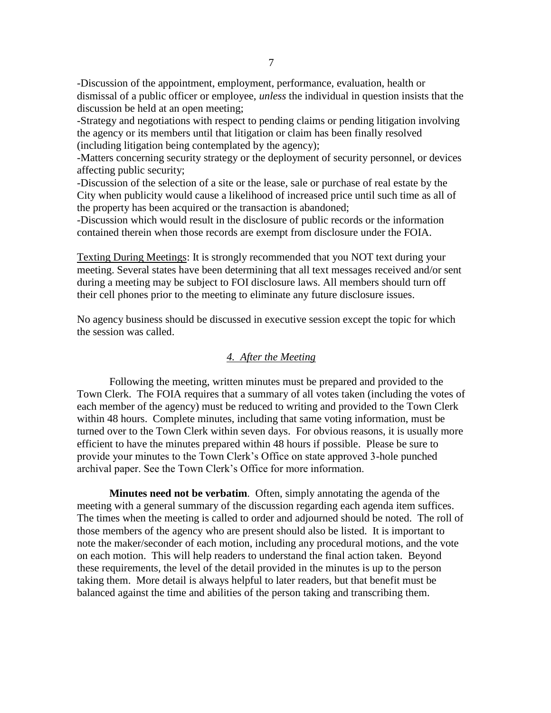-Discussion of the appointment, employment, performance, evaluation, health or dismissal of a public officer or employee, *unless* the individual in question insists that the discussion be held at an open meeting;

-Strategy and negotiations with respect to pending claims or pending litigation involving the agency or its members until that litigation or claim has been finally resolved (including litigation being contemplated by the agency);

-Matters concerning security strategy or the deployment of security personnel, or devices affecting public security;

-Discussion of the selection of a site or the lease, sale or purchase of real estate by the City when publicity would cause a likelihood of increased price until such time as all of the property has been acquired or the transaction is abandoned;

-Discussion which would result in the disclosure of public records or the information contained therein when those records are exempt from disclosure under the FOIA.

Texting During Meetings: It is strongly recommended that you NOT text during your meeting. Several states have been determining that all text messages received and/or sent during a meeting may be subject to FOI disclosure laws. All members should turn off their cell phones prior to the meeting to eliminate any future disclosure issues.

No agency business should be discussed in executive session except the topic for which the session was called.

#### *4. After the Meeting*

Following the meeting, written minutes must be prepared and provided to the Town Clerk. The FOIA requires that a summary of all votes taken (including the votes of each member of the agency) must be reduced to writing and provided to the Town Clerk within 48 hours. Complete minutes, including that same voting information, must be turned over to the Town Clerk within seven days. For obvious reasons, it is usually more efficient to have the minutes prepared within 48 hours if possible. Please be sure to provide your minutes to the Town Clerk's Office on state approved 3-hole punched archival paper. See the Town Clerk's Office for more information.

**Minutes need not be verbatim**. Often, simply annotating the agenda of the meeting with a general summary of the discussion regarding each agenda item suffices. The times when the meeting is called to order and adjourned should be noted. The roll of those members of the agency who are present should also be listed. It is important to note the maker/seconder of each motion, including any procedural motions, and the vote on each motion. This will help readers to understand the final action taken. Beyond these requirements, the level of the detail provided in the minutes is up to the person taking them. More detail is always helpful to later readers, but that benefit must be balanced against the time and abilities of the person taking and transcribing them.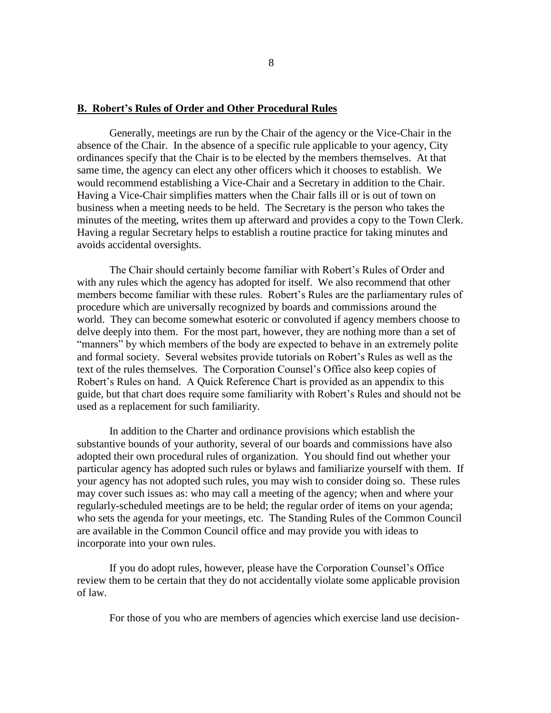#### **B. Robert's Rules of Order and Other Procedural Rules**

Generally, meetings are run by the Chair of the agency or the Vice-Chair in the absence of the Chair. In the absence of a specific rule applicable to your agency, City ordinances specify that the Chair is to be elected by the members themselves. At that same time, the agency can elect any other officers which it chooses to establish. We would recommend establishing a Vice-Chair and a Secretary in addition to the Chair. Having a Vice-Chair simplifies matters when the Chair falls ill or is out of town on business when a meeting needs to be held. The Secretary is the person who takes the minutes of the meeting, writes them up afterward and provides a copy to the Town Clerk. Having a regular Secretary helps to establish a routine practice for taking minutes and avoids accidental oversights.

The Chair should certainly become familiar with Robert's Rules of Order and with any rules which the agency has adopted for itself. We also recommend that other members become familiar with these rules. Robert's Rules are the parliamentary rules of procedure which are universally recognized by boards and commissions around the world. They can become somewhat esoteric or convoluted if agency members choose to delve deeply into them. For the most part, however, they are nothing more than a set of "manners" by which members of the body are expected to behave in an extremely polite and formal society. Several websites provide tutorials on Robert's Rules as well as the text of the rules themselves. The Corporation Counsel's Office also keep copies of Robert's Rules on hand. A Quick Reference Chart is provided as an appendix to this guide, but that chart does require some familiarity with Robert's Rules and should not be used as a replacement for such familiarity.

In addition to the Charter and ordinance provisions which establish the substantive bounds of your authority, several of our boards and commissions have also adopted their own procedural rules of organization. You should find out whether your particular agency has adopted such rules or bylaws and familiarize yourself with them. If your agency has not adopted such rules, you may wish to consider doing so. These rules may cover such issues as: who may call a meeting of the agency; when and where your regularly-scheduled meetings are to be held; the regular order of items on your agenda; who sets the agenda for your meetings, etc. The Standing Rules of the Common Council are available in the Common Council office and may provide you with ideas to incorporate into your own rules.

If you do adopt rules, however, please have the Corporation Counsel's Office review them to be certain that they do not accidentally violate some applicable provision of law.

For those of you who are members of agencies which exercise land use decision-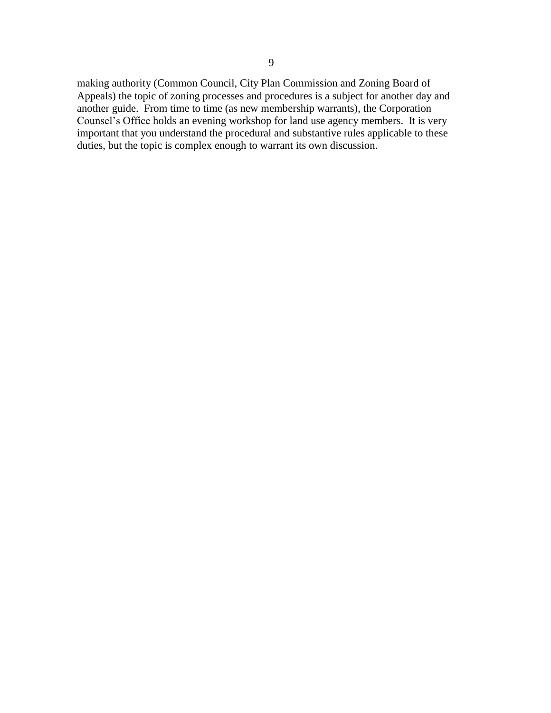making authority (Common Council, City Plan Commission and Zoning Board of Appeals) the topic of zoning processes and procedures is a subject for another day and another guide. From time to time (as new membership warrants), the Corporation Counsel's Office holds an evening workshop for land use agency members. It is very important that you understand the procedural and substantive rules applicable to these duties, but the topic is complex enough to warrant its own discussion.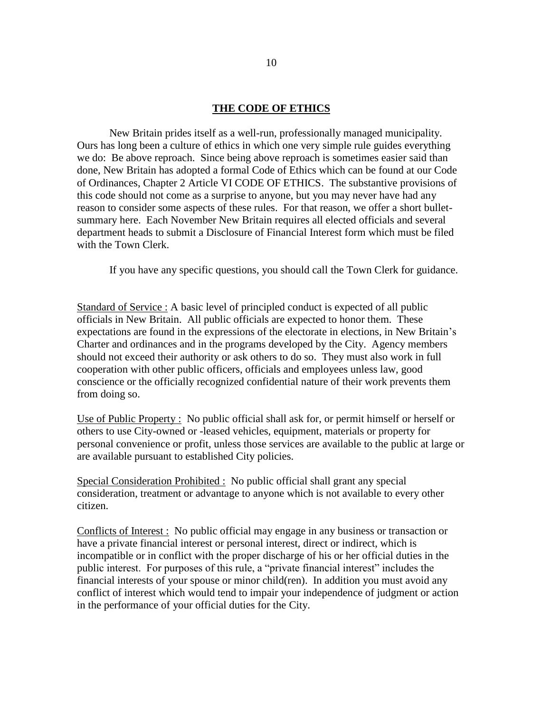#### **THE CODE OF ETHICS**

New Britain prides itself as a well-run, professionally managed municipality. Ours has long been a culture of ethics in which one very simple rule guides everything we do: Be above reproach. Since being above reproach is sometimes easier said than done, New Britain has adopted a formal Code of Ethics which can be found at our Code of Ordinances, Chapter 2 Article VI CODE OF ETHICS. The substantive provisions of this code should not come as a surprise to anyone, but you may never have had any reason to consider some aspects of these rules. For that reason, we offer a short bulletsummary here. Each November New Britain requires all elected officials and several department heads to submit a Disclosure of Financial Interest form which must be filed with the Town Clerk.

If you have any specific questions, you should call the Town Clerk for guidance.

Standard of Service : A basic level of principled conduct is expected of all public officials in New Britain. All public officials are expected to honor them. These expectations are found in the expressions of the electorate in elections, in New Britain's Charter and ordinances and in the programs developed by the City. Agency members should not exceed their authority or ask others to do so. They must also work in full cooperation with other public officers, officials and employees unless law, good conscience or the officially recognized confidential nature of their work prevents them from doing so.

Use of Public Property : No public official shall ask for, or permit himself or herself or others to use City-owned or -leased vehicles, equipment, materials or property for personal convenience or profit, unless those services are available to the public at large or are available pursuant to established City policies.

Special Consideration Prohibited : No public official shall grant any special consideration, treatment or advantage to anyone which is not available to every other citizen.

Conflicts of Interest : No public official may engage in any business or transaction or have a private financial interest or personal interest, direct or indirect, which is incompatible or in conflict with the proper discharge of his or her official duties in the public interest. For purposes of this rule, a "private financial interest" includes the financial interests of your spouse or minor child(ren). In addition you must avoid any conflict of interest which would tend to impair your independence of judgment or action in the performance of your official duties for the City.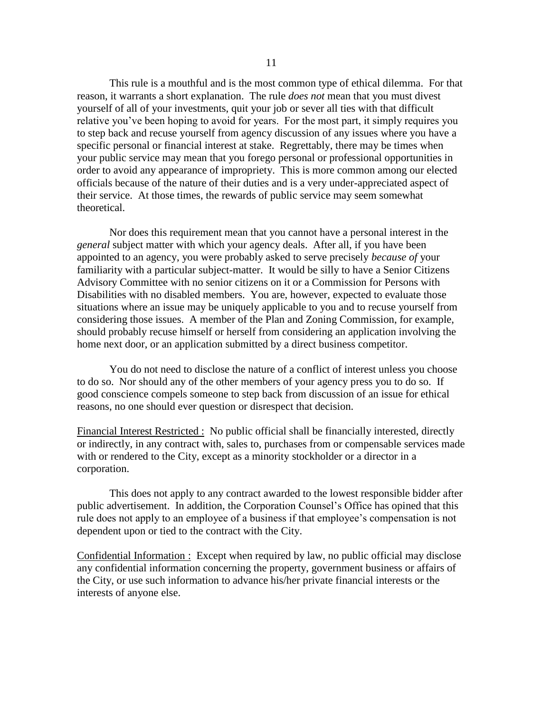This rule is a mouthful and is the most common type of ethical dilemma. For that reason, it warrants a short explanation. The rule *does not* mean that you must divest yourself of all of your investments, quit your job or sever all ties with that difficult relative you've been hoping to avoid for years. For the most part, it simply requires you to step back and recuse yourself from agency discussion of any issues where you have a specific personal or financial interest at stake. Regrettably, there may be times when your public service may mean that you forego personal or professional opportunities in order to avoid any appearance of impropriety. This is more common among our elected officials because of the nature of their duties and is a very under-appreciated aspect of their service. At those times, the rewards of public service may seem somewhat theoretical.

Nor does this requirement mean that you cannot have a personal interest in the *general* subject matter with which your agency deals. After all, if you have been appointed to an agency, you were probably asked to serve precisely *because of* your familiarity with a particular subject-matter. It would be silly to have a Senior Citizens Advisory Committee with no senior citizens on it or a Commission for Persons with Disabilities with no disabled members. You are, however, expected to evaluate those situations where an issue may be uniquely applicable to you and to recuse yourself from considering those issues. A member of the Plan and Zoning Commission, for example, should probably recuse himself or herself from considering an application involving the home next door, or an application submitted by a direct business competitor.

You do not need to disclose the nature of a conflict of interest unless you choose to do so. Nor should any of the other members of your agency press you to do so. If good conscience compels someone to step back from discussion of an issue for ethical reasons, no one should ever question or disrespect that decision.

Financial Interest Restricted : No public official shall be financially interested, directly or indirectly, in any contract with, sales to, purchases from or compensable services made with or rendered to the City, except as a minority stockholder or a director in a corporation.

This does not apply to any contract awarded to the lowest responsible bidder after public advertisement. In addition, the Corporation Counsel's Office has opined that this rule does not apply to an employee of a business if that employee's compensation is not dependent upon or tied to the contract with the City.

Confidential Information : Except when required by law, no public official may disclose any confidential information concerning the property, government business or affairs of the City, or use such information to advance his/her private financial interests or the interests of anyone else.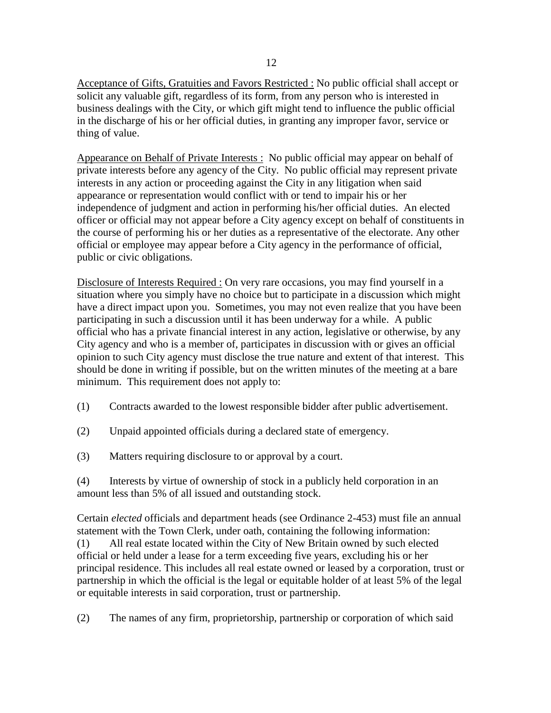Acceptance of Gifts, Gratuities and Favors Restricted : No public official shall accept or solicit any valuable gift, regardless of its form, from any person who is interested in business dealings with the City, or which gift might tend to influence the public official in the discharge of his or her official duties, in granting any improper favor, service or thing of value.

Appearance on Behalf of Private Interests : No public official may appear on behalf of private interests before any agency of the City. No public official may represent private interests in any action or proceeding against the City in any litigation when said appearance or representation would conflict with or tend to impair his or her independence of judgment and action in performing his/her official duties. An elected officer or official may not appear before a City agency except on behalf of constituents in the course of performing his or her duties as a representative of the electorate. Any other official or employee may appear before a City agency in the performance of official, public or civic obligations.

Disclosure of Interests Required : On very rare occasions, you may find yourself in a situation where you simply have no choice but to participate in a discussion which might have a direct impact upon you. Sometimes, you may not even realize that you have been participating in such a discussion until it has been underway for a while. A public official who has a private financial interest in any action, legislative or otherwise, by any City agency and who is a member of, participates in discussion with or gives an official opinion to such City agency must disclose the true nature and extent of that interest. This should be done in writing if possible, but on the written minutes of the meeting at a bare minimum. This requirement does not apply to:

- (1) Contracts awarded to the lowest responsible bidder after public advertisement.
- (2) Unpaid appointed officials during a declared state of emergency.
- (3) Matters requiring disclosure to or approval by a court.

(4) Interests by virtue of ownership of stock in a publicly held corporation in an amount less than 5% of all issued and outstanding stock.

Certain *elected* officials and department heads (see Ordinance 2-453) must file an annual statement with the Town Clerk, under oath, containing the following information: (1) All real estate located within the City of New Britain owned by such elected official or held under a lease for a term exceeding five years, excluding his or her principal residence. This includes all real estate owned or leased by a corporation, trust or partnership in which the official is the legal or equitable holder of at least 5% of the legal or equitable interests in said corporation, trust or partnership.

(2) The names of any firm, proprietorship, partnership or corporation of which said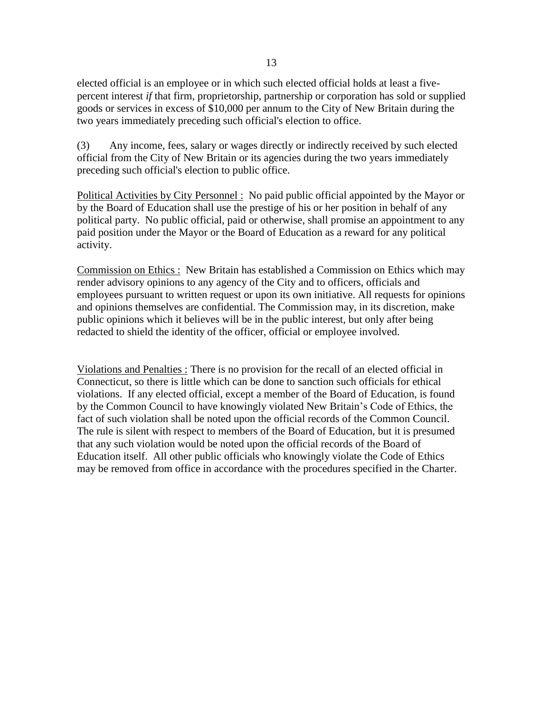elected official is an employee or in which such elected official holds at least a fivepercent interest *if* that firm, proprietorship, partnership or corporation has sold or supplied goods or services in excess of \$10,000 per annum to the City of New Britain during the two years immediately preceding such official's election to office.

(3) Any income, fees, salary or wages directly or indirectly received by such elected official from the City of New Britain or its agencies during the two years immediately preceding such official's election to public office.

Political Activities by City Personnel : No paid public official appointed by the Mayor or by the Board of Education shall use the prestige of his or her position in behalf of any political party. No public official, paid or otherwise, shall promise an appointment to any paid position under the Mayor or the Board of Education as a reward for any political activity.

Commission on Ethics : New Britain has established a Commission on Ethics which may render advisory opinions to any agency of the City and to officers, officials and employees pursuant to written request or upon its own initiative. All requests for opinions and opinions themselves are confidential. The Commission may, in its discretion, make public opinions which it believes will be in the public interest, but only after being redacted to shield the identity of the officer, official or employee involved.

Violations and Penalties : There is no provision for the recall of an elected official in Connecticut, so there is little which can be done to sanction such officials for ethical violations. If any elected official, except a member of the Board of Education, is found by the Common Council to have knowingly violated New Britain's Code of Ethics, the fact of such violation shall be noted upon the official records of the Common Council. The rule is silent with respect to members of the Board of Education, but it is presumed that any such violation would be noted upon the official records of the Board of Education itself. All other public officials who knowingly violate the Code of Ethics may be removed from office in accordance with the procedures specified in the Charter.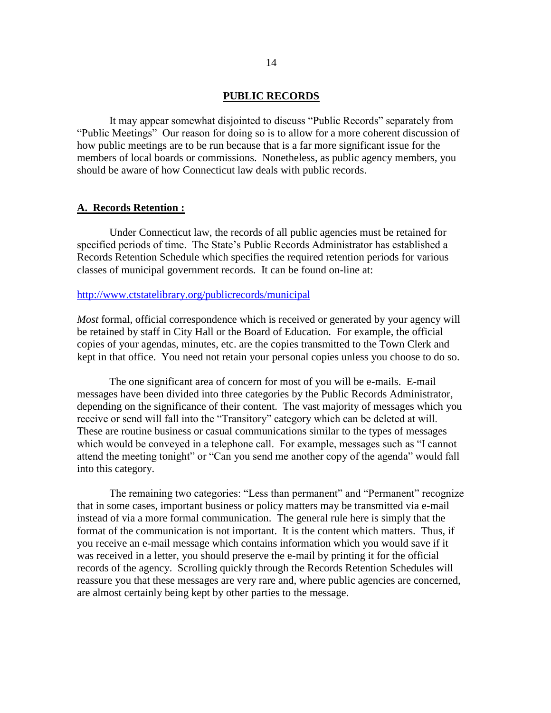#### **PUBLIC RECORDS**

It may appear somewhat disjointed to discuss "Public Records" separately from "Public Meetings" Our reason for doing so is to allow for a more coherent discussion of how public meetings are to be run because that is a far more significant issue for the members of local boards or commissions. Nonetheless, as public agency members, you should be aware of how Connecticut law deals with public records.

#### **A. Records Retention :**

Under Connecticut law, the records of all public agencies must be retained for specified periods of time. The State's Public Records Administrator has established a Records Retention Schedule which specifies the required retention periods for various classes of municipal government records. It can be found on-line at:

#### <http://www.ctstatelibrary.org/>publicrecords/municipal

*Most* formal, official correspondence which is received or generated by your agency will be retained by staff in City Hall or the Board of Education. For example, the official copies of your agendas, minutes, etc. are the copies transmitted to the Town Clerk and kept in that office. You need not retain your personal copies unless you choose to do so.

The one significant area of concern for most of you will be e-mails. E-mail messages have been divided into three categories by the Public Records Administrator, depending on the significance of their content. The vast majority of messages which you receive or send will fall into the "Transitory" category which can be deleted at will. These are routine business or casual communications similar to the types of messages which would be conveyed in a telephone call. For example, messages such as "I cannot attend the meeting tonight" or "Can you send me another copy of the agenda" would fall into this category.

The remaining two categories: "Less than permanent" and "Permanent" recognize that in some cases, important business or policy matters may be transmitted via e-mail instead of via a more formal communication. The general rule here is simply that the format of the communication is not important. It is the content which matters. Thus, if you receive an e-mail message which contains information which you would save if it was received in a letter, you should preserve the e-mail by printing it for the official records of the agency. Scrolling quickly through the Records Retention Schedules will reassure you that these messages are very rare and, where public agencies are concerned, are almost certainly being kept by other parties to the message.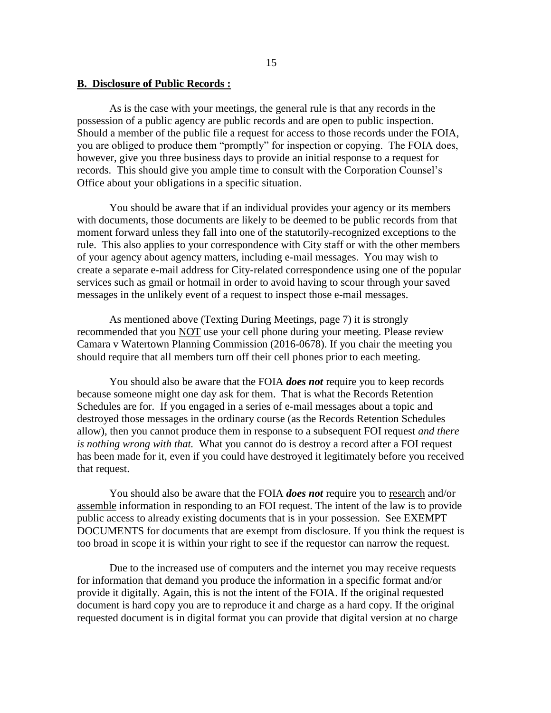#### **B. Disclosure of Public Records :**

As is the case with your meetings, the general rule is that any records in the possession of a public agency are public records and are open to public inspection. Should a member of the public file a request for access to those records under the FOIA, you are obliged to produce them "promptly" for inspection or copying. The FOIA does, however, give you three business days to provide an initial response to a request for records. This should give you ample time to consult with the Corporation Counsel's Office about your obligations in a specific situation.

You should be aware that if an individual provides your agency or its members with documents, those documents are likely to be deemed to be public records from that moment forward unless they fall into one of the statutorily-recognized exceptions to the rule. This also applies to your correspondence with City staff or with the other members of your agency about agency matters, including e-mail messages. You may wish to create a separate e-mail address for City-related correspondence using one of the popular services such as gmail or hotmail in order to avoid having to scour through your saved messages in the unlikely event of a request to inspect those e-mail messages.

As mentioned above (Texting During Meetings, page 7) it is strongly recommended that you NOT use your cell phone during your meeting. Please review Camara v Watertown Planning Commission (2016-0678). If you chair the meeting you should require that all members turn off their cell phones prior to each meeting.

You should also be aware that the FOIA *does not* require you to keep records because someone might one day ask for them. That is what the Records Retention Schedules are for. If you engaged in a series of e-mail messages about a topic and destroyed those messages in the ordinary course (as the Records Retention Schedules allow), then you cannot produce them in response to a subsequent FOI request *and there is nothing wrong with that.* What you cannot do is destroy a record after a FOI request has been made for it, even if you could have destroyed it legitimately before you received that request.

You should also be aware that the FOIA *does not* require you to research and/or assemble information in responding to an FOI request. The intent of the law is to provide public access to already existing documents that is in your possession. See EXEMPT DOCUMENTS for documents that are exempt from disclosure. If you think the request is too broad in scope it is within your right to see if the requestor can narrow the request.

Due to the increased use of computers and the internet you may receive requests for information that demand you produce the information in a specific format and/or provide it digitally. Again, this is not the intent of the FOIA. If the original requested document is hard copy you are to reproduce it and charge as a hard copy. If the original requested document is in digital format you can provide that digital version at no charge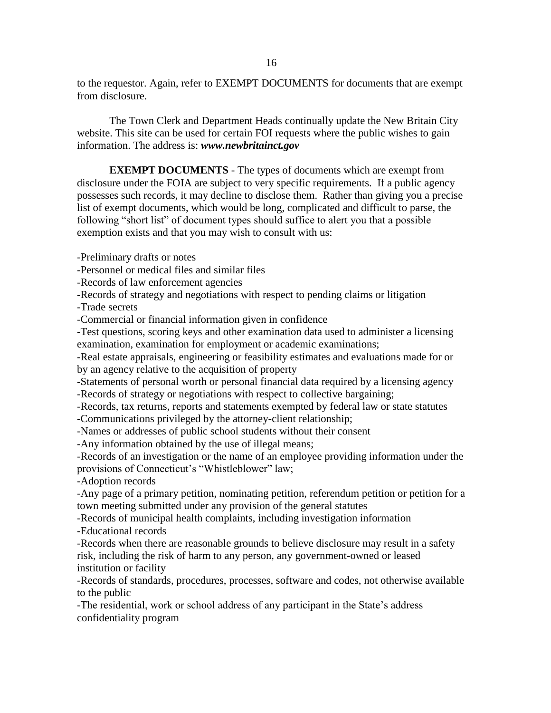to the requestor. Again, refer to EXEMPT DOCUMENTS for documents that are exempt from disclosure.

The Town Clerk and Department Heads continually update the New Britain City website. This site can be used for certain FOI requests where the public wishes to gain information. The address is: *www.newbritainct.gov*

**EXEMPT DOCUMENTS** - The types of documents which are exempt from disclosure under the FOIA are subject to very specific requirements. If a public agency possesses such records, it may decline to disclose them. Rather than giving you a precise list of exempt documents, which would be long, complicated and difficult to parse, the following "short list" of document types should suffice to alert you that a possible exemption exists and that you may wish to consult with us:

-Preliminary drafts or notes

-Personnel or medical files and similar files

-Records of law enforcement agencies

-Records of strategy and negotiations with respect to pending claims or litigation

-Trade secrets

-Commercial or financial information given in confidence

-Test questions, scoring keys and other examination data used to administer a licensing examination, examination for employment or academic examinations;

-Real estate appraisals, engineering or feasibility estimates and evaluations made for or by an agency relative to the acquisition of property

-Statements of personal worth or personal financial data required by a licensing agency -Records of strategy or negotiations with respect to collective bargaining;

-Records, tax returns, reports and statements exempted by federal law or state statutes -Communications privileged by the attorney-client relationship;

-Names or addresses of public school students without their consent

-Any information obtained by the use of illegal means;

-Records of an investigation or the name of an employee providing information under the provisions of Connecticut's "Whistleblower" law;

-Adoption records

-Any page of a primary petition, nominating petition, referendum petition or petition for a town meeting submitted under any provision of the general statutes

-Records of municipal health complaints, including investigation information -Educational records

-Records when there are reasonable grounds to believe disclosure may result in a safety risk, including the risk of harm to any person, any government-owned or leased institution or facility

-Records of standards, procedures, processes, software and codes, not otherwise available to the public

-The residential, work or school address of any participant in the State's address confidentiality program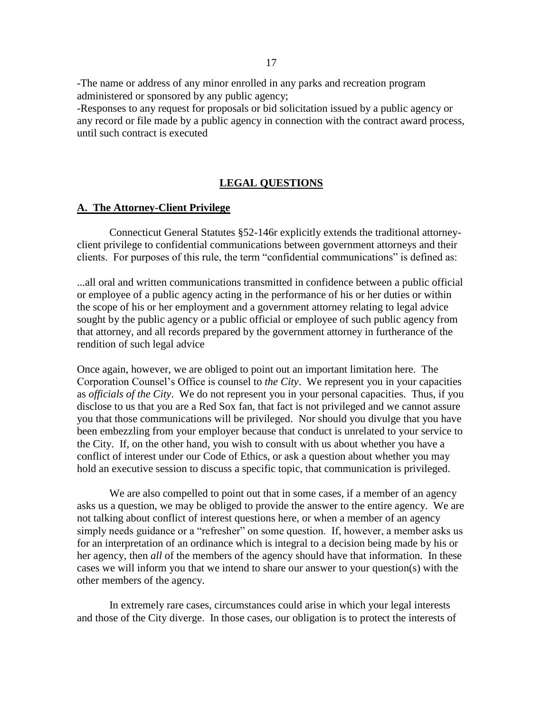-The name or address of any minor enrolled in any parks and recreation program administered or sponsored by any public agency;

-Responses to any request for proposals or bid solicitation issued by a public agency or any record or file made by a public agency in connection with the contract award process, until such contract is executed

#### **LEGAL QUESTIONS**

## **A. The Attorney-Client Privilege**

Connecticut General Statutes §52-146r explicitly extends the traditional attorneyclient privilege to confidential communications between government attorneys and their clients. For purposes of this rule, the term "confidential communications" is defined as:

...all oral and written communications transmitted in confidence between a public official or employee of a public agency acting in the performance of his or her duties or within the scope of his or her employment and a government attorney relating to legal advice sought by the public agency or a public official or employee of such public agency from that attorney, and all records prepared by the government attorney in furtherance of the rendition of such legal advice

Once again, however, we are obliged to point out an important limitation here. The Corporation Counsel's Office is counsel to *the City*. We represent you in your capacities as *officials of the City*. We do not represent you in your personal capacities. Thus, if you disclose to us that you are a Red Sox fan, that fact is not privileged and we cannot assure you that those communications will be privileged. Nor should you divulge that you have been embezzling from your employer because that conduct is unrelated to your service to the City. If, on the other hand, you wish to consult with us about whether you have a conflict of interest under our Code of Ethics, or ask a question about whether you may hold an executive session to discuss a specific topic, that communication is privileged.

We are also compelled to point out that in some cases, if a member of an agency asks us a question, we may be obliged to provide the answer to the entire agency. We are not talking about conflict of interest questions here, or when a member of an agency simply needs guidance or a "refresher" on some question. If, however, a member asks us for an interpretation of an ordinance which is integral to a decision being made by his or her agency, then *all* of the members of the agency should have that information. In these cases we will inform you that we intend to share our answer to your question(s) with the other members of the agency.

In extremely rare cases, circumstances could arise in which your legal interests and those of the City diverge. In those cases, our obligation is to protect the interests of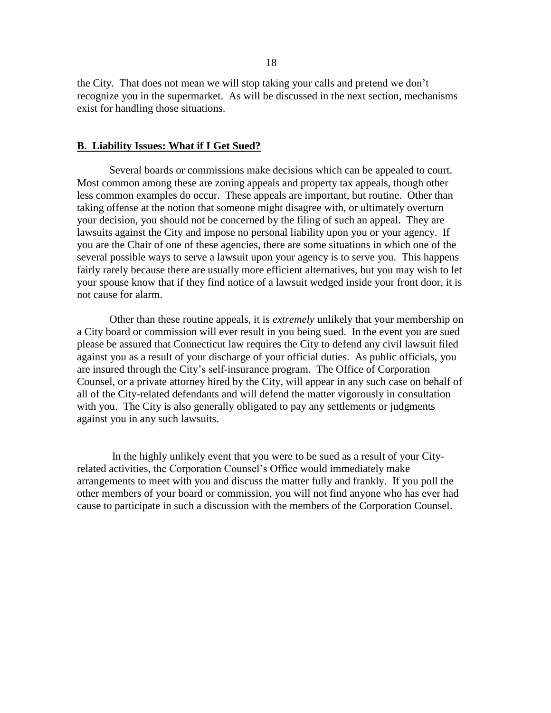the City. That does not mean we will stop taking your calls and pretend we don't recognize you in the supermarket. As will be discussed in the next section, mechanisms exist for handling those situations.

#### **B. Liability Issues: What if I Get Sued?**

Several boards or commissions make decisions which can be appealed to court. Most common among these are zoning appeals and property tax appeals, though other less common examples do occur. These appeals are important, but routine. Other than taking offense at the notion that someone might disagree with, or ultimately overturn your decision, you should not be concerned by the filing of such an appeal. They are lawsuits against the City and impose no personal liability upon you or your agency. If you are the Chair of one of these agencies, there are some situations in which one of the several possible ways to serve a lawsuit upon your agency is to serve you. This happens fairly rarely because there are usually more efficient alternatives, but you may wish to let your spouse know that if they find notice of a lawsuit wedged inside your front door, it is not cause for alarm.

Other than these routine appeals, it is *extremely* unlikely that your membership on a City board or commission will ever result in you being sued. In the event you are sued please be assured that Connecticut law requires the City to defend any civil lawsuit filed against you as a result of your discharge of your official duties. As public officials, you are insured through the City's self-insurance program. The Office of Corporation Counsel, or a private attorney hired by the City, will appear in any such case on behalf of all of the City-related defendants and will defend the matter vigorously in consultation with you. The City is also generally obligated to pay any settlements or judgments against you in any such lawsuits.

In the highly unlikely event that you were to be sued as a result of your Cityrelated activities, the Corporation Counsel's Office would immediately make arrangements to meet with you and discuss the matter fully and frankly. If you poll the other members of your board or commission, you will not find anyone who has ever had cause to participate in such a discussion with the members of the Corporation Counsel.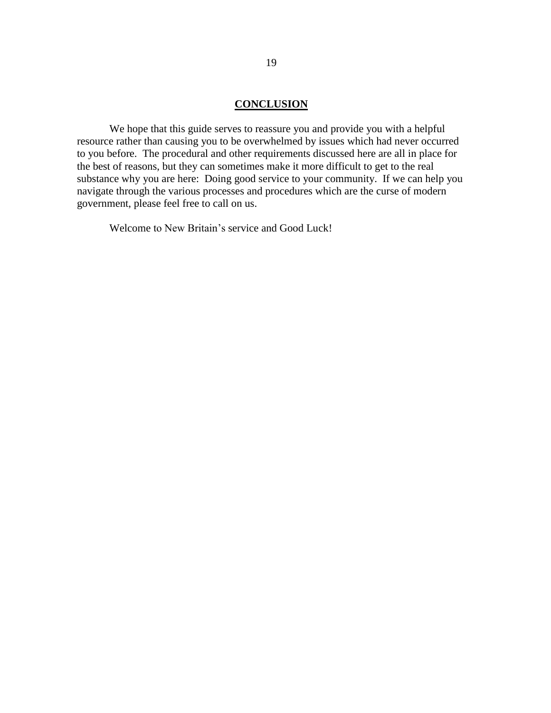#### **CONCLUSION**

We hope that this guide serves to reassure you and provide you with a helpful resource rather than causing you to be overwhelmed by issues which had never occurred to you before. The procedural and other requirements discussed here are all in place for the best of reasons, but they can sometimes make it more difficult to get to the real substance why you are here: Doing good service to your community. If we can help you navigate through the various processes and procedures which are the curse of modern government, please feel free to call on us.

Welcome to New Britain's service and Good Luck!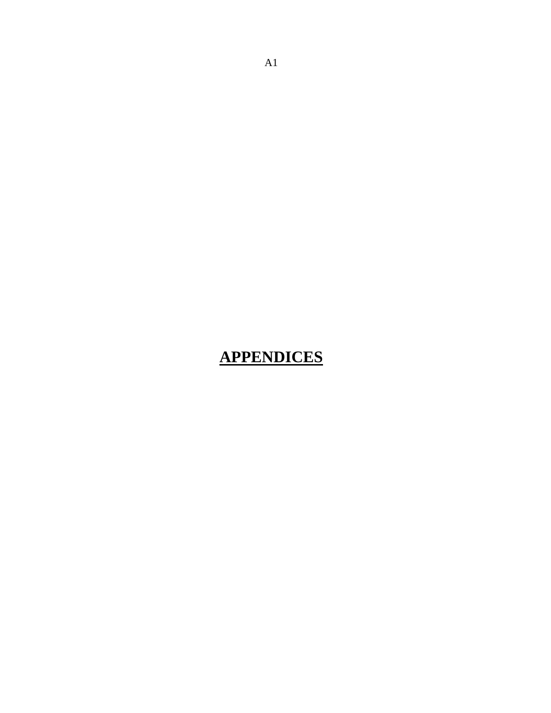## **APPENDICES**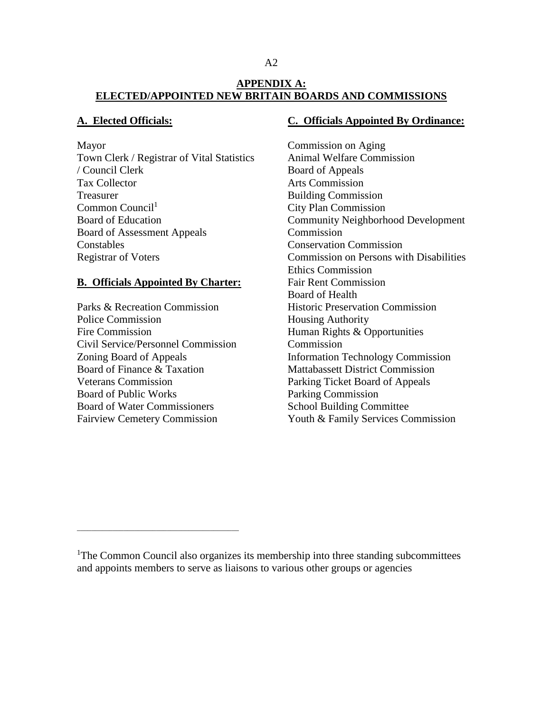## **APPENDIX A: ELECTED/APPOINTED NEW BRITAIN BOARDS AND COMMISSIONS**

## **A. Elected Officials:**

Mayor

Town Clerk / Registrar of Vital Statistics / Council Clerk Tax Collector Treasurer  $Common Council<sup>1</sup>$ Board of Education Board of Assessment Appeals **Constables** Registrar of Voters

## **B. Officials Appointed By Charter:**

Parks & Recreation Commission Police Commission Fire Commission Civil Service/Personnel Commission Zoning Board of Appeals Board of Finance & Taxation Veterans Commission Board of Public Works Board of Water Commissioners Fairview Cemetery Commission

\_\_\_\_\_\_\_\_\_\_\_\_\_\_\_\_\_\_\_\_\_\_\_\_\_\_\_\_\_\_\_\_\_\_\_\_\_\_\_\_\_\_\_\_\_

#### **C. Officials Appointed By Ordinance:**

Commission on Aging Animal Welfare Commission Board of Appeals Arts Commission Building Commission City Plan Commission Community Neighborhood Development Commission Conservation Commission Commission on Persons with Disabilities Ethics Commission Fair Rent Commission Board of Health Historic Preservation Commission Housing Authority Human Rights & Opportunities Commission Information Technology Commission Mattabassett District Commission Parking Ticket Board of Appeals Parking Commission School Building Committee Youth & Family Services Commission

<sup>&</sup>lt;sup>1</sup>The Common Council also organizes its membership into three standing subcommittees and appoints members to serve as liaisons to various other groups or agencies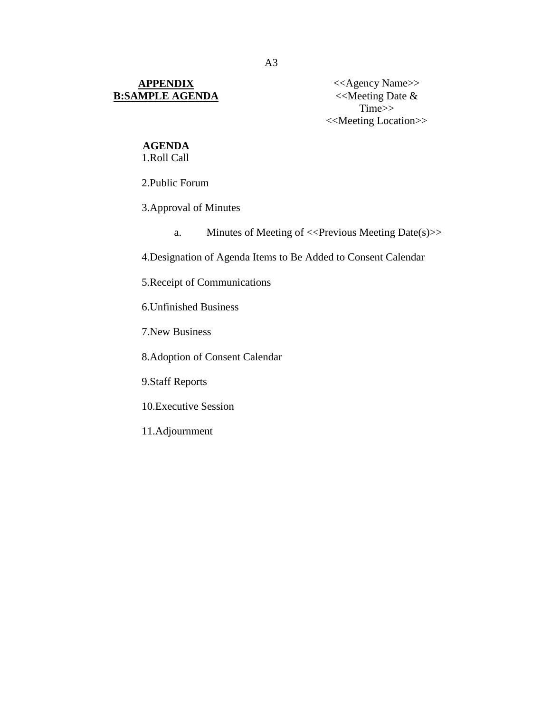## **APPENDIX B:SAMPLE AGENDA**

<<Agency Name>>  $\lt$ Meeting Date & Time>> <<Meeting Location>>

## **AGENDA**

1.Roll Call

2.Public Forum

3.Approval of Minutes

a. Minutes of Meeting of <<Previous Meeting Date(s)>>

4.Designation of Agenda Items to Be Added to Consent Calendar

5.Receipt of Communications

6.Unfinished Business

7.New Business

8.Adoption of Consent Calendar

9.Staff Reports

10.Executive Session

11.Adjournment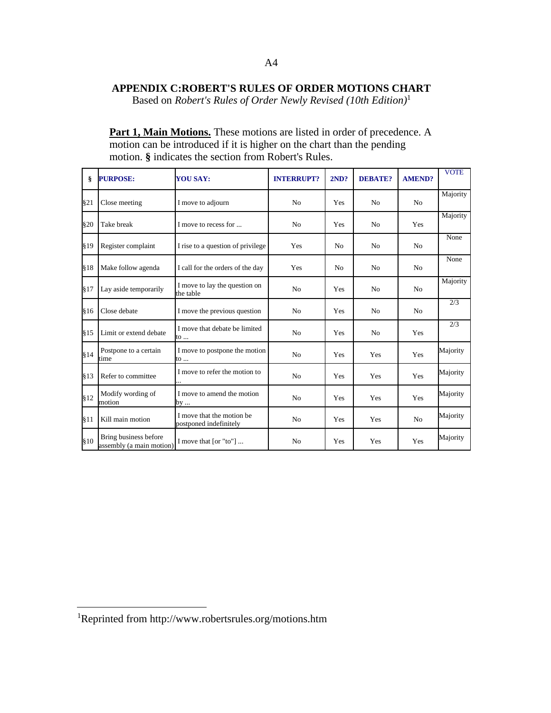## **APPENDIX C:ROBERT'S RULES OF ORDER MOTIONS CHART**

Based on *Robert's Rules of Order Newly Revised (10th Edition)*<sup>1</sup>

Part 1, Main Motions. These motions are listed in order of precedence. A motion can be introduced if it is higher on the chart than the pending motion. **§** indicates the section from Robert's Rules.

| §.   | <b>PURPOSE:</b>                                   | <b>YOU SAY:</b>                                      | <b>INTERRUPT?</b> | 2ND?           | <b>DEBATE?</b> | <b>AMEND?</b>  | <b>VOTE</b> |
|------|---------------------------------------------------|------------------------------------------------------|-------------------|----------------|----------------|----------------|-------------|
| \$21 | Close meeting                                     | I move to adjourn                                    | N <sub>0</sub>    | Yes            | N <sub>o</sub> | N <sub>o</sub> | Majority    |
| §20  | Take break                                        | I move to recess for                                 | N <sub>0</sub>    | Yes            | N <sub>o</sub> | Yes            | Majority    |
| §19  | Register complaint                                | I rise to a question of privilege                    | Yes               | N <sub>0</sub> | N <sub>o</sub> | N <sub>0</sub> | None        |
| §18  | Make follow agenda                                | I call for the orders of the day                     | Yes               | N <sub>0</sub> | N <sub>o</sub> | N <sub>0</sub> | None        |
| \$17 | Lay aside temporarily                             | I move to lay the question on<br>the table           | N <sub>o</sub>    | Yes            | N <sub>0</sub> | N <sub>0</sub> | Majority    |
| §16  | Close debate                                      | I move the previous question                         | N <sub>0</sub>    | Yes            | N <sub>o</sub> | N <sub>0</sub> | 2/3         |
| §15  | Limit or extend debate                            | I move that debate be limited<br>to                  | N <sub>o</sub>    | Yes            | N <sub>o</sub> | Yes            | 2/3         |
| §14  | Postpone to a certain<br>time                     | I move to postpone the motion<br>to                  | N <sub>0</sub>    | Yes            | Yes            | Yes            | Majority    |
| §13  | Refer to committee                                | I move to refer the motion to                        | N <sub>0</sub>    | Yes            | Yes            | Yes            | Majority    |
| \$12 | Modify wording of<br>motion                       | I move to amend the motion<br>by                     | N <sub>0</sub>    | Yes            | Yes            | Yes            | Majority    |
| §11  | Kill main motion                                  | I move that the motion be.<br>postponed indefinitely | No                | Yes            | Yes            | N <sub>0</sub> | Majority    |
| §10  | Bring business before<br>assembly (a main motion) | I move that $[or "to"] $                             | No                | Yes            | Yes            | Yes            | Majority    |

 $\overline{a}$ 

<sup>1</sup>Reprinted from http://www.robertsrules.org/motions.htm